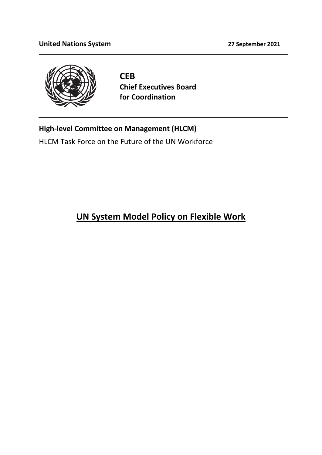

**CEB Chief Executives Board for Coordination**

## **High-level Committee on Management (HLCM)**

HLCM Task Force on the Future of the UN Workforce

# **UN System Model Policy on Flexible Work**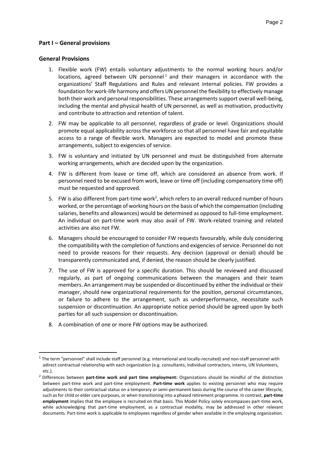#### **Part I – General provisions**

#### **General Provisions**

- 1. Flexible work (FW) entails voluntary adjustments to the normal working hours and/or locations, agreed between UN personnel<sup>1</sup> and their managers in accordance with the organizations' Staff Regulations and Rules and relevant internal policies. FW provides a foundation for work-life harmony and offers UN personnel the flexibility to effectively manage both their work and personal responsibilities. These arrangements support overall well-being, including the mental and physical health of UN personnel, as well as motivation, productivity and contribute to attraction and retention of talent.
- 2. FW may be applicable to all personnel, regardless of grade or level. Organizations should promote equal applicability across the workforce so that all personnel have fair and equitable access to a range of flexible work. Managers are expected to model and promote these arrangements, subject to exigencies of service.
- 3. FW is voluntary and initiated by UN personnel and must be distinguished from alternate working arrangements, which are decided upon by the organization.
- 4. FW is different from leave or time off, which are considered an absence from work. If personnel need to be excused from work, leave or time off (including compensatory time off) must be requested and approved.
- 5. FW is also different from part-time work<sup>2</sup>, which refers to an overall reduced number of hours worked, or the percentage of working hours on the basis of which the compensation (including salaries, benefits and allowances) would be determined as opposed to full-time employment. An individual on part-time work may also avail of FW. Work-related training and related activities are also not FW.
- 6. Managers should be encouraged to consider FW requests favourably, while duly considering the compatibility with the completion of functions and exigencies of service. Personnel do not need to provide reasons for their requests. Any decision (approval or denial) should be transparently communicated and, if denied, the reason should be clearly justified.
- 7. The use of FW is approved for a specific duration. This should be reviewed and discussed regularly, as part of ongoing communications between the managers and their team members. An arrangement may be suspended or discontinued by either the individual or their manager, should new organizational requirements for the position, personal circumstances, or failure to adhere to the arrangement, such as underperformance, necessitate such suspension or discontinuation. An appropriate notice period should be agreed upon by both parties for all such suspension or discontinuation.
- 8. A combination of one or more FW options may be authorized.

 $1$  The term "personnel" shall include staff personnel (e.g. international and locally-recruited) and non-staff personnel with adirect contractual relationship with each organization (e.g. consultants, individual contractors, interns, UN Volunteers, etc.).

<sup>2</sup> Differences between **part-time work and part time employment:** Organizations should be mindful of the distinction between part-time work and part-time employment. **Part-time work** applies to existing personnel who may require adjustments to their contractual status on a temporary or semi-permanent basis during the course of the career lifecycle, such as for child or elder care purposes, or when transitioning into a phased retirement programme. In contrast, **part-time employment** implies that the employee is recruited on that basis. This Model Policy solely encompasses part-time work, while acknowledging that part-time employment, as a contractual modality, may be addressed in other relevant documents. Part-time work is applicable to employees regardless of gender when available in the employing organization.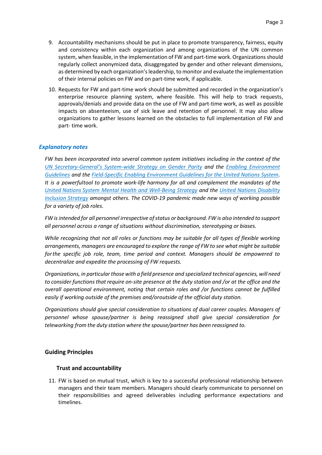- 9. Accountability mechanisms should be put in place to promote transparency, fairness, equity and consistency within each organization and among organizations of the UN common system, when feasible, in the implementation of FW and part-time work. Organizations should regularly collect anonymized data, disaggregated by gender and other relevant dimensions, as determined by each organization's leadership, to monitor and evaluate the implementation of their internal policies on FW and on part-time work, if applicable.
- 10. Requests for FW and part-time work should be submitted and recorded in the organization's enterprise resource planning system, where feasible. This will help to track requests, approvals/denials and provide data on the use of FW and part-time work, as well as possible impacts on absenteeism, use of sick leave and retention of personnel. It may also allow organizations to gather lessons learned on the obstacles to full implementation of FW and part- time work.

## *Explanatory notes*

*FW has been incorporated into several common system initiatives including in the context of the [UN](https://www.un.org/gender/sites/www.un.org.gender/files/gender_parity_strategy_october_2017.pdf) Secretary-General's System[-wide Strategy on Gender Parity](https://www.un.org/gender/sites/www.un.org.gender/files/gender_parity_strategy_october_2017.pdf) and [the Enabling Environment](https://www.unwomen.org/en/digital-library/publications/2019/02/supplementary-guidance-on-the-enabling-environment-guidelines-for-the-united-nations-system)  [Guidelines](https://www.unwomen.org/en/digital-library/publications/2019/02/supplementary-guidance-on-the-enabling-environment-guidelines-for-the-united-nations-system) and [the Field-Specific Enabling Environment Guidelines for the United Nations System.](https://www.unwomen.org/en/digital-library/publications/2021/01/make-parity-a-reality) It is a powerfultool to promote work-life harmony for all and complement the mandates of the United [Nations](https://www.un.org/en/healthy-workforce/files/Strategy%20-%20full.pdf) System [Mental Health and Well-Being Strategy](https://www.un.org/en/healthy-workforce/files/Strategy%20-%20full.pdf) and the [United Nations Disability](https://www.un.org/en/content/disabilitystrategy/)  [Inclusion Strategy](https://www.un.org/en/content/disabilitystrategy/) amongst others. The COVID-19 pandemic made new ways of working possible for a variety of job roles.*

*FW is intended for all personnel irrespective of status or background. FW is also intended to support all personnel across a range of situations without discrimination, stereotyping or biases.*

*While recognizing that not all roles or functions may be suitable for all types of flexible working arrangements, managers are encouraged to explore the range of FW to see what might be suitable forthe specific job role, team, time period and context. Managers should be empowered to decentralize and expedite the processing of FW requests.*

*Organizations, in particularthose with a field presence and specialized technical agencies, will need to consider functions that require on-site presence at the duty station and /or at the office and the overall operational environment, noting that certain roles and /or functions cannot be fulfilled easily if working outside of the premises and/oroutside of the official duty station.*

*Organizations should give special consideration to situations of dual career couples. Managers of personnel whose spouse/partner is being reassigned shall give special consideration for teleworking from the duty station where the spouse/partner has been reassigned to.*

#### **Guiding Principles**

#### **Trust and accountability**

11. FW is based on mutual trust, which is key to a successful professional relationship between managers and their team members. Managers should clearly communicate to personnel on their responsibilities and agreed deliverables including performance expectations and timelines.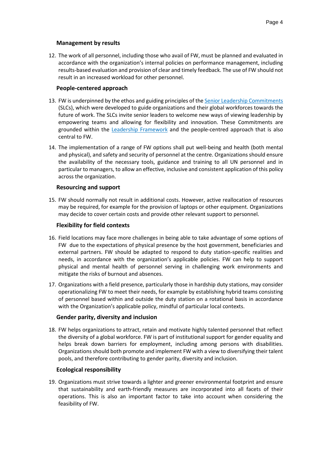## **Management by results**

12. The work of all personnel, including those who avail of FW, must be planned and evaluated in accordance with the organization's internal policies on performance management, including results-based evaluation and provision of clear and timely feedback. The use of FW should not result in an increased workload for other personnel.

## **People-centered approach**

- 13. FW is underpinned by the ethos and guiding principles of th[e Senior Leadership Commitments](https://unsceb.org/sites/default/files/2021-04/2021.HLCM_.6.Add_.2.Rev_.1%20-%20Senior%20Leadership%20Commitments_0.pdf) (SLCs), which were developed to guide organizations and their global workforces towards the future of work. The SLCs invite senior leaders to welcome new ways of viewing leadership by empowering teams and allowing for flexibility and innovation. These Commitments are grounded within the [Leadership Framework](https://unsceb.org/united-nations-system-leadership-framework) and the people-centred approach that is also central to FW.
- 14. The implementation of a range of FW options shall put well-being and health (both mental and physical), and safety and security of personnel at the centre. Organizations should ensure the availability of the necessary tools, guidance and training to all UN personnel and in particular to managers, to allow an effective, inclusive and consistent application of this policy across the organization.

## **Resourcing and support**

15. FW should normally not result in additional costs. However, active reallocation of resources may be required, for example for the provision of laptops or other equipment. Organizations may decide to cover certain costs and provide other relevant support to personnel.

## **Flexibility for field contexts**

- 16. Field locations may face more challenges in being able to take advantage of some options of FW due to the expectations of physical presence by the host government, beneficiaries and external partners. FW should be adapted to respond to duty station-specific realities and needs, in accordance with the organization's applicable policies. FW can help to support physical and mental health of personnel serving in challenging work environments and mitigate the risks of burnout and absences.
- 17. Organizations with a field presence, particularly those in hardship duty stations, may consider operationalizing FW to meet their needs, for example by establishing hybrid teams consisting of personnel based within and outside the duty station on a rotational basis in accordance with the Organization's applicable policy, mindful of particular local contexts.

## **Gender parity, diversity and inclusion**

18. FW helps organizations to attract, retain and motivate highly talented personnel that reflect the diversity of a global workforce. FW is part of institutional support for gender equality and helps break down barriers for employment, including among persons with disabilities. Organizations should both promote and implement FW with a view to diversifying their talent pools, and therefore contributing to gender parity, diversity and inclusion.

## **Ecological responsibility**

19. Organizations must strive towards a lighter and greener environmental footprint and ensure that sustainability and earth-friendly measures are incorporated into all facets of their operations. This is also an important factor to take into account when considering the feasibility of FW.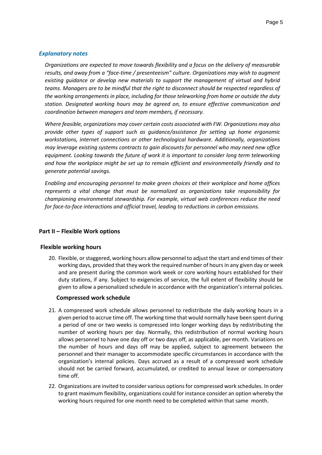#### *Explanatory notes*

*Organizations are expected to move towards flexibility and a focus on the delivery of measurable results, and away from a "face-time / presenteeism" culture. Organizations may wish to augment existing guidance or develop new materials to support the management of virtual and hybrid teams. Managers are to be mindful that the right to disconnect should be respected regardless of the working arrangements in place, including for those teleworking from home or outside the duty station. Designated working hours may be agreed on, to ensure effective communication and coordination between managers and team members, if necessary.*

*Where feasible, organizations may cover certain costs associated with FW. Organizations may also provide other types of support such as guidance/assistance for setting up home ergonomic workstations, internet connections or other technological hardware. Additionally, organizations may leverage existing systems contracts to gain discounts for personnel who may need new office equipment. Looking towards the future of work it is important to consider long term teleworking and how the workplace might be set up to remain efficient and environmentally friendly and to generate potential savings.*

*Enabling and encouraging personnel to make green choices at their workplace and home offices represents a vital change that must be normalized as organizations take responsibility for championing environmental stewardship. For example, virtual web conferences reduce the need for face-to-face interactions and official travel, leading to reductions in carbon emissions.*

#### **Part II – Flexible Work options**

#### **Flexible working hours**

20. Flexible, or staggered, working hours allow personnel to adjust the start and end times of their working days, provided that they work the required number of hours in any given day or week and are present during the common work week or core working hours established for their duty stations, if any. Subject to exigencies of service, the full extent of flexibility should be given to allow a personalized schedule in accordance with the organization's internal policies.

#### **Compressed work schedule**

- 21. A compressed work schedule allows personnel to redistribute the daily working hours in a given period to accrue time off. The working time that would normally have been spent during a period of one or two weeks is compressed into longer working days by redistributing the number of working hours per day. Normally, this redistribution of normal working hours allows personnel to have one day off or two days off, as applicable, per month. Variations on the number of hours and days off may be applied, subject to agreement between the personnel and their manager to accommodate specific circumstances in accordance with the organization's internal policies. Days accrued as a result of a compressed work schedule should not be carried forward, accumulated, or credited to annual leave or compensatory time off.
- 22. Organizations are invited to consider various options for compressed work schedules. In order to grant maximum flexibility, organizations could for instance consider an option whereby the working hours required for one month need to be completed within that same month.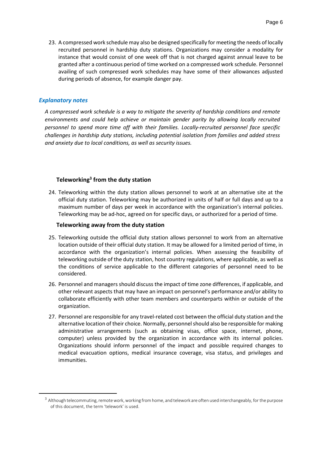23. A compressed work schedule may also be designed specifically for meeting the needs of locally recruited personnel in hardship duty stations. Organizations may consider a modality for instance that would consist of one week off that is not charged against annual leave to be granted after a continuous period of time worked on a compressed work schedule. Personnel availing of such compressed work schedules may have some of their allowances adjusted during periods of absence, for example danger pay.

#### *Explanatory notes*

*A compressed work schedule is a way to mitigate the severity of hardship conditions and remote environments and could help achieve or maintain gender parity by allowing locally recruited personnel to spend more time off with their families. Locally-recruited personnel face specific challenges in hardship duty stations, including potential isolation from families and added stress and anxiety due to local conditions, as well as security issues.*

### **Teleworking<sup>3</sup> from the duty station**

24. Teleworking within the duty station allows personnel to work at an alternative site at the official duty station. Teleworking may be authorized in units of half or full days and up to a maximum number of days per week in accordance with the organization's internal policies. Teleworking may be ad-hoc, agreed on for specific days, or authorized for a period of time.

#### **Teleworking away from the duty station**

- 25. Teleworking outside the official duty station allows personnel to work from an alternative location outside of their official duty station. It may be allowed for a limited period of time, in accordance with the organization's internal policies. When assessing the feasibility of teleworking outside of the duty station, host country regulations, where applicable, as well as the conditions of service applicable to the different categories of personnel need to be considered.
- 26. Personnel and managers should discuss the impact of time zone differences, if applicable, and other relevant aspects that may have an impact on personnel's performance and/or ability to collaborate efficiently with other team members and counterparts within or outside of the organization.
- 27. Personnel are responsible for any travel-related cost between the official duty station and the alternative location of their choice. Normally, personnel should also be responsible for making administrative arrangements (such as obtaining visas, office space, internet, phone, computer) unless provided by the organization in accordance with its internal policies. Organizations should inform personnel of the impact and possible required changes to medical evacuation options, medical insurance coverage, visa status, and privileges and immunities.

 $^3$  Although telecommuting, remote work, working from home, and telework are often used interchangeably, for the purpose of this document, the term 'telework' is used.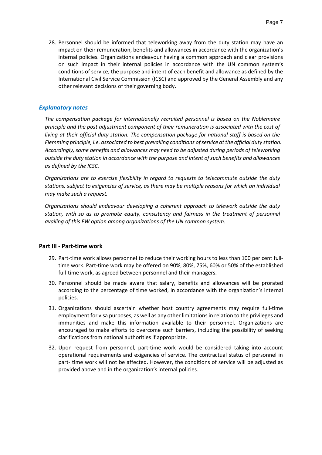28. Personnel should be informed that teleworking away from the duty station may have an impact on their remuneration, benefits and allowances in accordance with the organization's internal policies. Organizations endeavour having a common approach and clear provisions on such impact in their internal policies in accordance with the UN common system's conditions of service, the purpose and intent of each benefit and allowance as defined by the International Civil Service Commission (ICSC) and approved by the General Assembly and any other relevant decisions of their governing body.

#### *Explanatory notes*

*The compensation package for internationally recruited personnel is based on the Noblemaire principle and the post adjustment component of their remuneration is associated with the cost of living at their official duty station. The compensation package for national staff is based on the Flemming principle, i.e. associated to best prevailing conditions of service at the official duty station. Accordingly, some benefits and allowances may need to be adjusted during periods of teleworking outside the duty station in accordance with the purpose and intent of such benefits and allowances as defined by the ICSC.*

*Organizations are to exercise flexibility in regard to requests to telecommute outside the duty stations, subject to exigencies of service, as there may be multiple reasons for which an individual may make such a request.*

*Organizations should endeavour developing a coherent approach to telework outside the duty station, with so as to promote equity, consistency and fairness in the treatment of personnel availing of this FW option among organizations of the UN common system.*

#### **Part III - Part-time work**

- 29. Part-time work allows personnel to reduce their working hours to less than 100 per cent fulltime work. Part-time work may be offered on 90%, 80%, 75%, 60% or 50% of the established full-time work, as agreed between personnel and their managers.
- 30. Personnel should be made aware that salary, benefits and allowances will be prorated according to the percentage of time worked, in accordance with the organization's internal policies.
- 31. Organizations should ascertain whether host country agreements may require full-time employment for visa purposes, as well as any other limitations in relation to the privileges and immunities and make this information available to their personnel. Organizations are encouraged to make efforts to overcome such barriers, including the possibility of seeking clarifications from national authorities if appropriate.
- 32. Upon request from personnel, part-time work would be considered taking into account operational requirements and exigencies of service. The contractual status of personnel in part- time work will not be affected. However, the conditions of service will be adjusted as provided above and in the organization's internal policies.